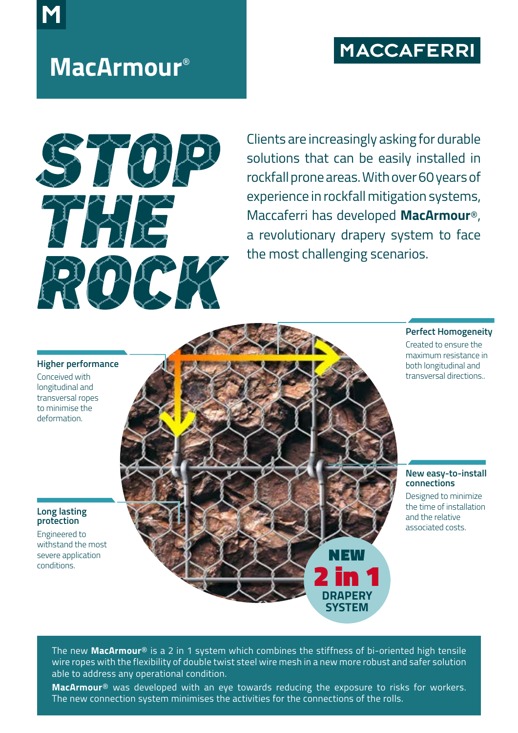## **MACCAFERRI**

# **MacArmour**®



Clients are increasingly asking for durable solutions that can be easily installed in rockfall prone areas. With over 60 years of experience in rockfall mitigation systems, Maccaferri has developed **MacArmour**®, a revolutionary drapery system to face the most challenging scenarios.

### **Higher performance**

Conceived with longitudinal and transversal ropes to minimise the deformation.

## **Long lasting protection**

Engineered to withstand the most severe application conditions.



## Created to ensure the maximum resistance in

**Perfect Homogeneity**

both longitudinal and transversal directions..

### **New easy-to-install connections**

Designed to minimize the time of installation and the relative associated costs.

The new **MacArmour**® is a 2 in 1 system which combines the stiffness of bi-oriented high tensile wire ropes with the flexibility of double twist steel wire mesh in a new more robust and safer solution able to address any operational condition.

**MacArmour**® was developed with an eye towards reducing the exposure to risks for workers. The new connection system minimises the activities for the connections of the rolls.